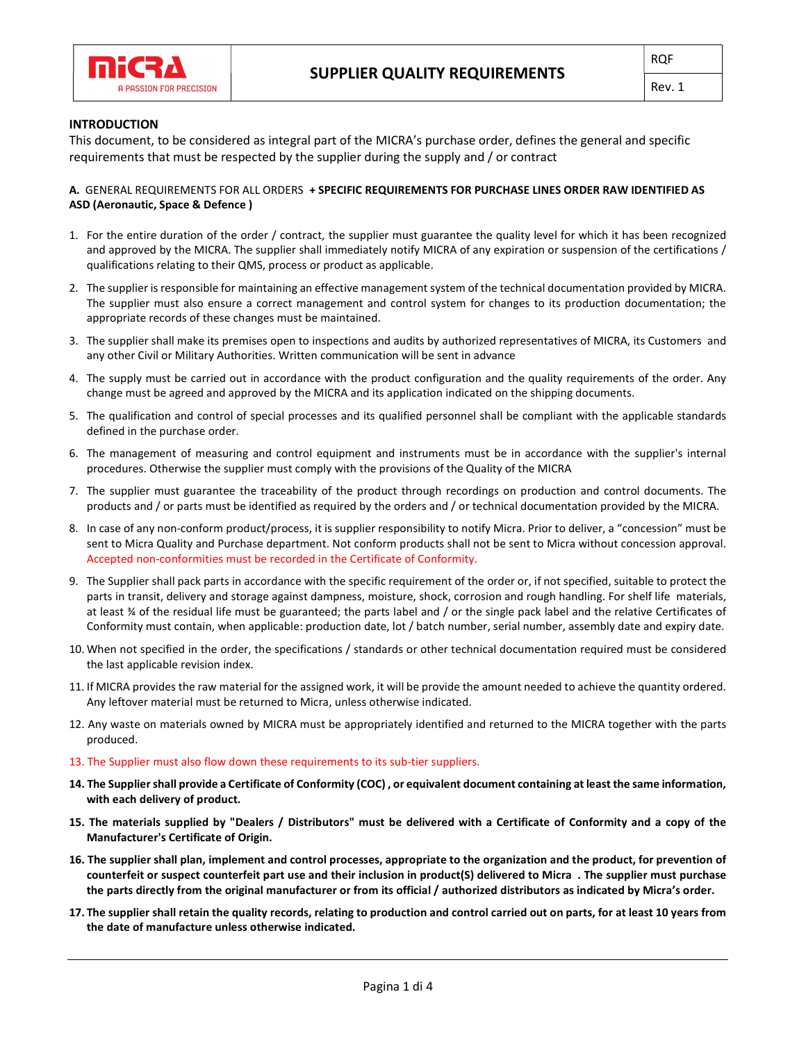

## INTRODUCTION

This document, to be considered as integral part of the MICRA's purchase order, defines the general and specific requirements that must be respected by the supplier during the supply and / or contract

# A. GENERAL REQUIREMENTS FOR ALL ORDERS + SPECIFIC REQUIREMENTS FOR PURCHASE LINES ORDER RAW IDENTIFIED AS ASD (Aeronautic, Space & Defence )

- 1. For the entire duration of the order / contract, the supplier must guarantee the quality level for which it has been recognized and approved by the MICRA. The supplier shall immediately notify MICRA of any expiration or suspension of the certifications / qualifications relating to their QMS, process or product as applicable.
- 2. The supplier is responsible for maintaining an effective management system of the technical documentation provided by MICRA. The supplier must also ensure a correct management and control system for changes to its production documentation; the appropriate records of these changes must be maintained.
- 3. The supplier shall make its premises open to inspections and audits by authorized representatives of MICRA, its Customers and any other Civil or Military Authorities. Written communication will be sent in advance
- 4. The supply must be carried out in accordance with the product configuration and the quality requirements of the order. Any change must be agreed and approved by the MICRA and its application indicated on the shipping documents.
- 5. The qualification and control of special processes and its qualified personnel shall be compliant with the applicable standards defined in the purchase order.
- 6. The management of measuring and control equipment and instruments must be in accordance with the supplier's internal procedures. Otherwise the supplier must comply with the provisions of the Quality of the MICRA
- 7. The supplier must guarantee the traceability of the product through recordings on production and control documents. The products and / or parts must be identified as required by the orders and / or technical documentation provided by the MICRA.
- 8. In case of any non-conform product/process, it is supplier responsibility to notify Micra. Prior to deliver, a "concession" must be sent to Micra Quality and Purchase department. Not conform products shall not be sent to Micra without concession approval. Accepted non-conformities must be recorded in the Certificate of Conformity.
- 9. The Supplier shall pack parts in accordance with the specific requirement of the order or, if not specified, suitable to protect the parts in transit, delivery and storage against dampness, moisture, shock, corrosion and rough handling. For shelf life materials, at least ¾ of the residual life must be guaranteed; the parts label and / or the single pack label and the relative Certificates of Conformity must contain, when applicable: production date, lot / batch number, serial number, assembly date and expiry date.
- 10. When not specified in the order, the specifications / standards or other technical documentation required must be considered the last applicable revision index.
- 11. If MICRA provides the raw material for the assigned work, it will be provide the amount needed to achieve the quantity ordered. Any leftover material must be returned to Micra, unless otherwise indicated.
- 12. Any waste on materials owned by MICRA must be appropriately identified and returned to the MICRA together with the parts produced.
- 13. The Supplier must also flow down these requirements to its sub-tier suppliers.
- 14. The Supplier shall provide a Certificate of Conformity (COC) , or equivalent document containing at least the same information, with each delivery of product.
- 15. The materials supplied by "Dealers / Distributors" must be delivered with a Certificate of Conformity and a copy of the Manufacturer's Certificate of Origin.
- 16. The supplier shall plan, implement and control processes, appropriate to the organization and the product, for prevention of counterfeit or suspect counterfeit part use and their inclusion in product(S) delivered to Micra . The supplier must purchase the parts directly from the original manufacturer or from its official / authorized distributors as indicated by Micra's order.
- 17. The supplier shall retain the quality records, relating to production and control carried out on parts, for at least 10 years from the date of manufacture unless otherwise indicated.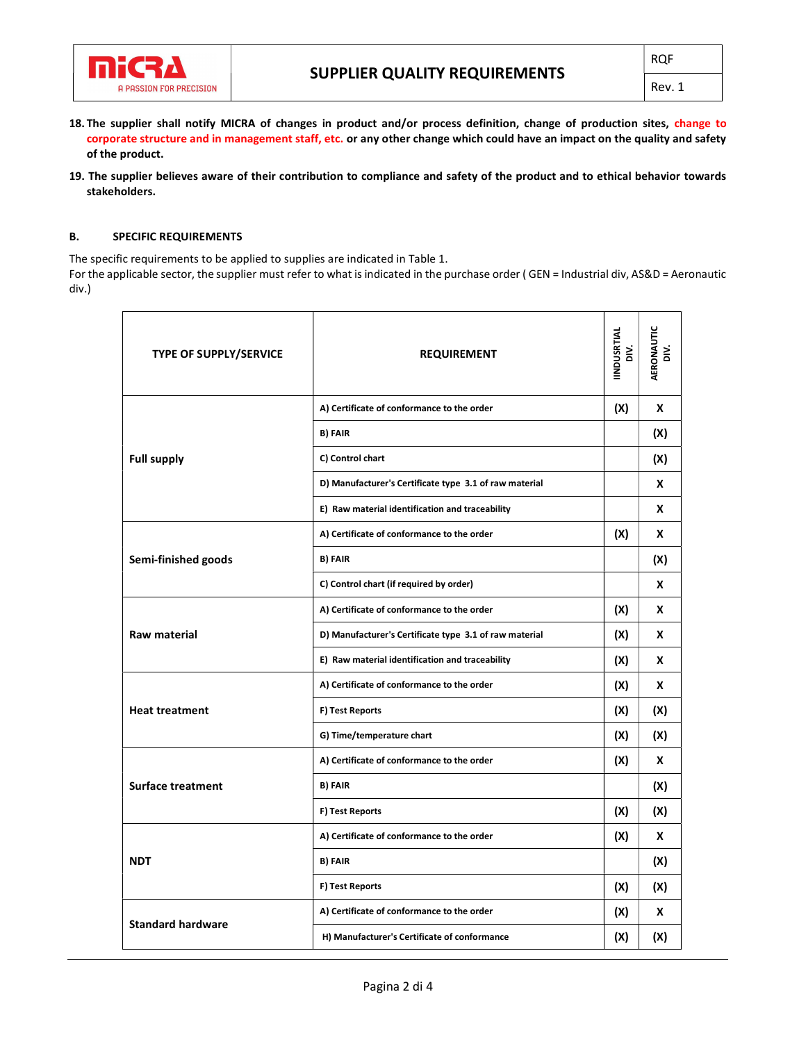

Rev. 1

- 18. The supplier shall notify MICRA of changes in product and/or process definition, change of production sites, change to corporate structure and in management staff, etc. or any other change which could have an impact on the quality and safety of the product.
- 19. The supplier believes aware of their contribution to compliance and safety of the product and to ethical behavior towards stakeholders.

#### B. SPECIFIC REQUIREMENTS

The specific requirements to be applied to supplies are indicated in Table 1.

For the applicable sector, the supplier must refer to what is indicated in the purchase order (GEN = Industrial div, AS&D = Aeronautic div.)

| TYPE OF SUPPLY/SERVICE   | <b>REQUIREMENT</b>                                     | IINDUSRTIAL<br>DIV. | <b>AERONAUTIC</b><br>DIV. |
|--------------------------|--------------------------------------------------------|---------------------|---------------------------|
| <b>Full supply</b>       | A) Certificate of conformance to the order             | (X)                 | X                         |
|                          | <b>B) FAIR</b>                                         |                     | (X)                       |
|                          | C) Control chart                                       |                     | (X)                       |
|                          | D) Manufacturer's Certificate type 3.1 of raw material |                     | X                         |
|                          | E) Raw material identification and traceability        |                     | X                         |
| Semi-finished goods      | A) Certificate of conformance to the order             | (X)                 | x                         |
|                          | <b>B) FAIR</b>                                         |                     | (X)                       |
|                          | C) Control chart (if required by order)                |                     | X                         |
| Raw material             | A) Certificate of conformance to the order             | (X)                 | X                         |
|                          | D) Manufacturer's Certificate type 3.1 of raw material | (X)                 | X                         |
|                          | E) Raw material identification and traceability        | (X)                 | X                         |
| <b>Heat treatment</b>    | A) Certificate of conformance to the order             | (X)                 | X                         |
|                          | F) Test Reports                                        | (X)                 | (X)                       |
|                          | G) Time/temperature chart                              | (X)                 | (X)                       |
| <b>Surface treatment</b> | A) Certificate of conformance to the order             | (X)                 | X                         |
|                          | <b>B) FAIR</b>                                         |                     | (X)                       |
|                          | F) Test Reports                                        | (X)                 | (X)                       |
| <b>NDT</b>               | A) Certificate of conformance to the order             | (X)                 | X                         |
|                          | <b>B) FAIR</b>                                         |                     | (X)                       |
|                          | F) Test Reports                                        | (X)                 | (X)                       |
| <b>Standard hardware</b> | A) Certificate of conformance to the order             | (X)                 | X                         |
|                          | H) Manufacturer's Certificate of conformance           | (X)                 | (X)                       |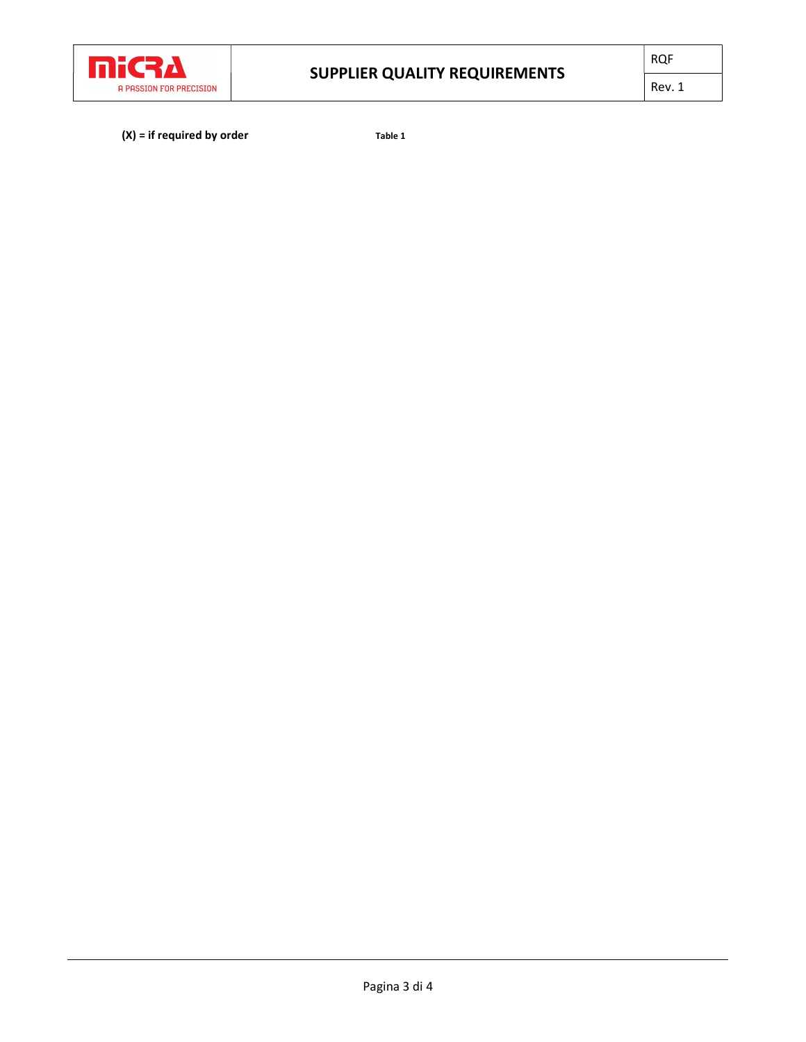

 $(X) = if required by order$  Table 1